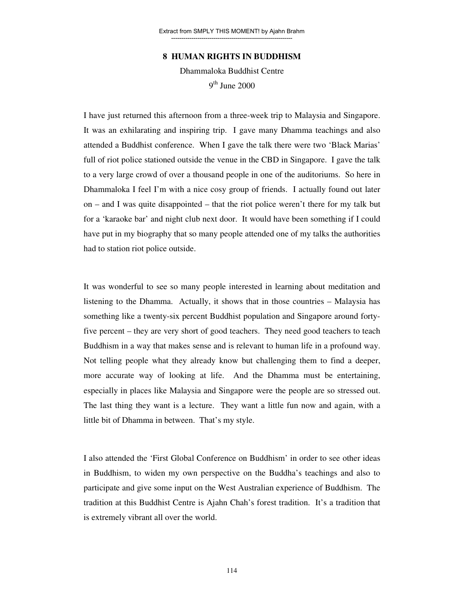## **8 HUMAN RIGHTS IN BUDDHISM**

Dhammaloka Buddhist Centre 9<sup>th</sup> June 2000

I have just returned this afternoon from a three-week trip to Malaysia and Singapore. It was an exhilarating and inspiring trip. I gave many Dhamma teachings and also attended a Buddhist conference. When I gave the talk there were two 'Black Marias' full of riot police stationed outside the venue in the CBD in Singapore. I gave the talk to a very large crowd of over a thousand people in one of the auditoriums. So here in Dhammaloka I feel I'm with a nice cosy group of friends. I actually found out later on – and I was quite disappointed – that the riot police weren't there for my talk but for a 'karaoke bar' and night club next door. It would have been something if I could have put in my biography that so many people attended one of my talks the authorities had to station riot police outside.

It was wonderful to see so many people interested in learning about meditation and listening to the Dhamma. Actually, it shows that in those countries – Malaysia has something like a twenty-six percent Buddhist population and Singapore around fortyfive percent – they are very short of good teachers. They need good teachers to teach Buddhism in a way that makes sense and is relevant to human life in a profound way. Not telling people what they already know but challenging them to find a deeper, more accurate way of looking at life. And the Dhamma must be entertaining, especially in places like Malaysia and Singapore were the people are so stressed out. The last thing they want is a lecture. They want a little fun now and again, with a little bit of Dhamma in between. That's my style.

I also attended the 'First Global Conference on Buddhism' in order to see other ideas in Buddhism, to widen my own perspective on the Buddha's teachings and also to participate and give some input on the West Australian experience of Buddhism. The tradition at this Buddhist Centre is Ajahn Chah's forest tradition. It's a tradition that is extremely vibrant all over the world.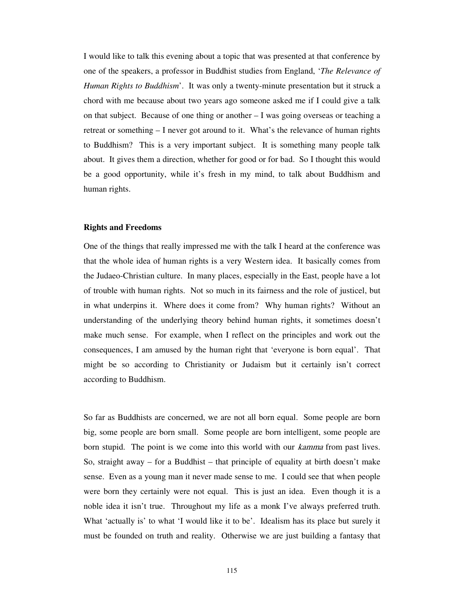I would like to talk this evening about a topic that was presented at that conference by one of the speakers, a professor in Buddhist studies from England, '*The Relevance of Human Rights to Buddhism*'. It was only a twenty-minute presentation but it struck a chord with me because about two years ago someone asked me if I could give a talk on that subject. Because of one thing or another – I was going overseas or teaching a retreat or something – I never got around to it. What's the relevance of human rights to Buddhism? This is a very important subject. It is something many people talk about. It gives them a direction, whether for good or for bad. So I thought this would be a good opportunity, while it's fresh in my mind, to talk about Buddhism and human rights.

#### **Rights and Freedoms**

One of the things that really impressed me with the talk I heard at the conference was that the whole idea of human rights is a very Western idea. It basically comes from the Judaeo-Christian culture. In many places, especially in the East, people have a lot of trouble with human rights. Not so much in its fairness and the role of justicel, but in what underpins it. Where does it come from? Why human rights? Without an understanding of the underlying theory behind human rights, it sometimes doesn't make much sense. For example, when I reflect on the principles and work out the consequences, I am amused by the human right that 'everyone is born equal'. That might be so according to Christianity or Judaism but it certainly isn't correct according to Buddhism.

So far as Buddhists are concerned, we are not all born equal. Some people are born big, some people are born small. Some people are born intelligent, some people are born stupid. The point is we come into this world with our *kamma* from past lives. So, straight away – for a Buddhist – that principle of equality at birth doesn't make sense. Even as a young man it never made sense to me. I could see that when people were born they certainly were not equal. This is just an idea. Even though it is a noble idea it isn't true. Throughout my life as a monk I've always preferred truth. What 'actually is' to what 'I would like it to be'. Idealism has its place but surely it must be founded on truth and reality. Otherwise we are just building a fantasy that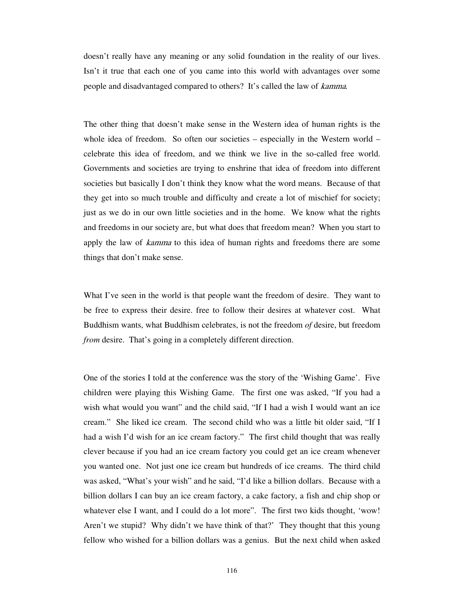doesn't really have any meaning or any solid foundation in the reality of our lives. Isn't it true that each one of you came into this world with advantages over some people and disadvantaged compared to others? It's called the law of kamma*.*

The other thing that doesn't make sense in the Western idea of human rights is the whole idea of freedom. So often our societies – especially in the Western world – celebrate this idea of freedom, and we think we live in the so-called free world. Governments and societies are trying to enshrine that idea of freedom into different societies but basically I don't think they know what the word means. Because of that they get into so much trouble and difficulty and create a lot of mischief for society; just as we do in our own little societies and in the home. We know what the rights and freedoms in our society are, but what does that freedom mean? When you start to apply the law of *kamma* to this idea of human rights and freedoms there are some things that don't make sense.

What I've seen in the world is that people want the freedom of desire. They want to be free to express their desire. free to follow their desires at whatever cost. What Buddhism wants, what Buddhism celebrates, is not the freedom *of* desire, but freedom *from* desire. That's going in a completely different direction.

One of the stories I told at the conference was the story of the 'Wishing Game'. Five children were playing this Wishing Game. The first one was asked, "If you had a wish what would you want" and the child said, "If I had a wish I would want an ice cream." She liked ice cream. The second child who was a little bit older said, "If I had a wish I'd wish for an ice cream factory." The first child thought that was really clever because if you had an ice cream factory you could get an ice cream whenever you wanted one. Not just one ice cream but hundreds of ice creams. The third child was asked, "What's your wish" and he said, "I'd like a billion dollars. Because with a billion dollars I can buy an ice cream factory, a cake factory, a fish and chip shop or whatever else I want, and I could do a lot more". The first two kids thought, 'wow! Aren't we stupid? Why didn't we have think of that?' They thought that this young fellow who wished for a billion dollars was a genius. But the next child when asked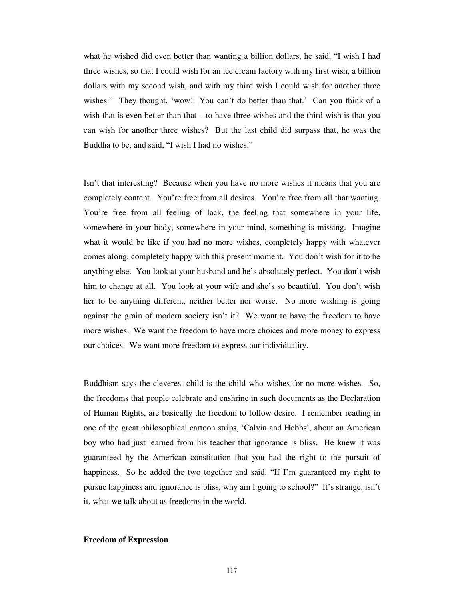what he wished did even better than wanting a billion dollars, he said, "I wish I had three wishes, so that I could wish for an ice cream factory with my first wish, a billion dollars with my second wish, and with my third wish I could wish for another three wishes." They thought, 'wow! You can't do better than that.' Can you think of a wish that is even better than that – to have three wishes and the third wish is that you can wish for another three wishes? But the last child did surpass that, he was the Buddha to be, and said, "I wish I had no wishes."

Isn't that interesting? Because when you have no more wishes it means that you are completely content. You're free from all desires. You're free from all that wanting. You're free from all feeling of lack, the feeling that somewhere in your life, somewhere in your body, somewhere in your mind, something is missing. Imagine what it would be like if you had no more wishes, completely happy with whatever comes along, completely happy with this present moment. You don't wish for it to be anything else. You look at your husband and he's absolutely perfect. You don't wish him to change at all. You look at your wife and she's so beautiful. You don't wish her to be anything different, neither better nor worse. No more wishing is going against the grain of modern society isn't it? We want to have the freedom to have more wishes. We want the freedom to have more choices and more money to express our choices. We want more freedom to express our individuality.

Buddhism says the cleverest child is the child who wishes for no more wishes. So, the freedoms that people celebrate and enshrine in such documents as the Declaration of Human Rights, are basically the freedom to follow desire. I remember reading in one of the great philosophical cartoon strips, 'Calvin and Hobbs', about an American boy who had just learned from his teacher that ignorance is bliss. He knew it was guaranteed by the American constitution that you had the right to the pursuit of happiness. So he added the two together and said, "If I'm guaranteed my right to pursue happiness and ignorance is bliss, why am I going to school?" It's strange, isn't it, what we talk about as freedoms in the world.

## **Freedom of Expression**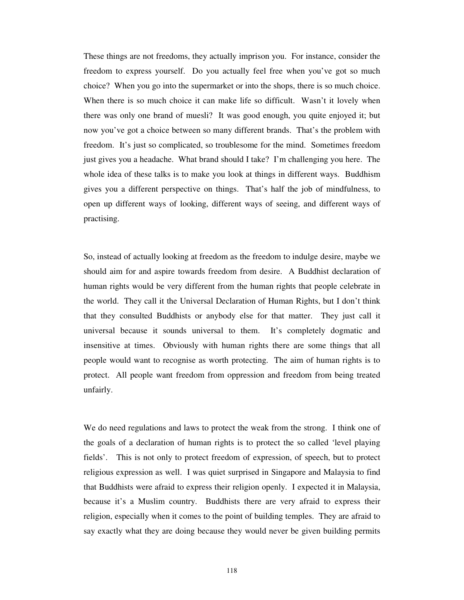These things are not freedoms, they actually imprison you. For instance, consider the freedom to express yourself. Do you actually feel free when you've got so much choice? When you go into the supermarket or into the shops, there is so much choice. When there is so much choice it can make life so difficult. Wasn't it lovely when there was only one brand of muesli? It was good enough, you quite enjoyed it; but now you've got a choice between so many different brands. That's the problem with freedom. It's just so complicated, so troublesome for the mind. Sometimes freedom just gives you a headache. What brand should I take? I'm challenging you here. The whole idea of these talks is to make you look at things in different ways. Buddhism gives you a different perspective on things. That's half the job of mindfulness, to open up different ways of looking, different ways of seeing, and different ways of practising.

So, instead of actually looking at freedom as the freedom to indulge desire, maybe we should aim for and aspire towards freedom from desire. A Buddhist declaration of human rights would be very different from the human rights that people celebrate in the world. They call it the Universal Declaration of Human Rights, but I don't think that they consulted Buddhists or anybody else for that matter. They just call it universal because it sounds universal to them. It's completely dogmatic and insensitive at times. Obviously with human rights there are some things that all people would want to recognise as worth protecting. The aim of human rights is to protect. All people want freedom from oppression and freedom from being treated unfairly.

We do need regulations and laws to protect the weak from the strong. I think one of the goals of a declaration of human rights is to protect the so called 'level playing fields'. This is not only to protect freedom of expression, of speech, but to protect religious expression as well. I was quiet surprised in Singapore and Malaysia to find that Buddhists were afraid to express their religion openly. I expected it in Malaysia, because it's a Muslim country. Buddhists there are very afraid to express their religion, especially when it comes to the point of building temples. They are afraid to say exactly what they are doing because they would never be given building permits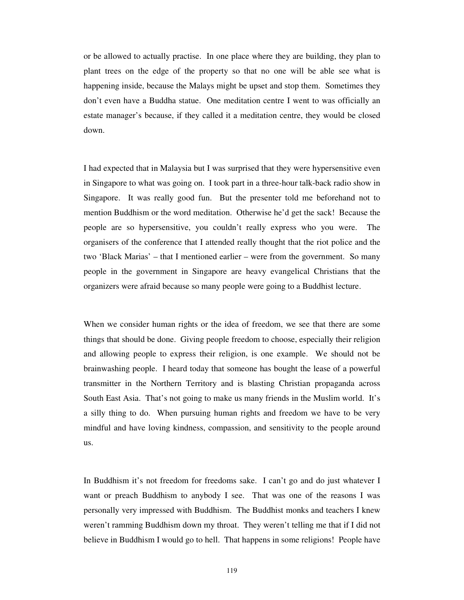or be allowed to actually practise. In one place where they are building, they plan to plant trees on the edge of the property so that no one will be able see what is happening inside, because the Malays might be upset and stop them. Sometimes they don't even have a Buddha statue. One meditation centre I went to was officially an estate manager's because, if they called it a meditation centre, they would be closed down.

I had expected that in Malaysia but I was surprised that they were hypersensitive even in Singapore to what was going on. I took part in a three-hour talk-back radio show in Singapore. It was really good fun. But the presenter told me beforehand not to mention Buddhism or the word meditation. Otherwise he'd get the sack! Because the people are so hypersensitive, you couldn't really express who you were. The organisers of the conference that I attended really thought that the riot police and the two 'Black Marias' – that I mentioned earlier – were from the government. So many people in the government in Singapore are heavy evangelical Christians that the organizers were afraid because so many people were going to a Buddhist lecture.

When we consider human rights or the idea of freedom, we see that there are some things that should be done. Giving people freedom to choose, especially their religion and allowing people to express their religion, is one example. We should not be brainwashing people. I heard today that someone has bought the lease of a powerful transmitter in the Northern Territory and is blasting Christian propaganda across South East Asia. That's not going to make us many friends in the Muslim world. It's a silly thing to do. When pursuing human rights and freedom we have to be very mindful and have loving kindness, compassion, and sensitivity to the people around us.

In Buddhism it's not freedom for freedoms sake. I can't go and do just whatever I want or preach Buddhism to anybody I see. That was one of the reasons I was personally very impressed with Buddhism. The Buddhist monks and teachers I knew weren't ramming Buddhism down my throat. They weren't telling me that if I did not believe in Buddhism I would go to hell. That happens in some religions! People have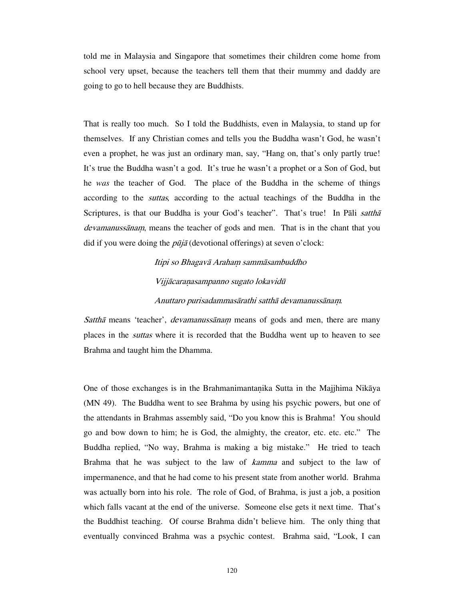told me in Malaysia and Singapore that sometimes their children come home from school very upset, because the teachers tell them that their mummy and daddy are going to go to hell because they are Buddhists.

That is really too much. So I told the Buddhists, even in Malaysia, to stand up for themselves. If any Christian comes and tells you the Buddha wasn't God, he wasn't even a prophet, he was just an ordinary man, say, "Hang on, that's only partly true! It's true the Buddha wasn't a god. It's true he wasn't a prophet or a Son of God, but he *was* the teacher of God. The place of the Buddha in the scheme of things according to the suttas*,* according to the actual teachings of the Buddha in the Scriptures, is that our Buddha is your God's teacher". That's true! In Pali sattha devamanussānam, means the teacher of gods and men. That is in the chant that you did if you were doing the  $p\bar{u}j\bar{a}$  (devotional offerings) at seven o'clock:

# Itipi so Bhagavā Araham sammāsambuddho Vijjācaraņasampanno sugato lokavidū Anuttaro purisadammasārathi satthā devamanussāna*.*

Satthā means 'teacher', *devamanussānam* means of gods and men, there are many places in the suttas where it is recorded that the Buddha went up to heaven to see Brahma and taught him the Dhamma.

One of those exchanges is in the Brahmanimantaika Sutta in the Majjhima Nikāya (MN 49). The Buddha went to see Brahma by using his psychic powers, but one of the attendants in Brahmas assembly said, "Do you know this is Brahma! You should go and bow down to him; he is God, the almighty, the creator, etc. etc. etc." The Buddha replied, "No way, Brahma is making a big mistake." He tried to teach Brahma that he was subject to the law of *kamma* and subject to the law of impermanence, and that he had come to his present state from another world. Brahma was actually born into his role. The role of God, of Brahma, is just a job, a position which falls vacant at the end of the universe. Someone else gets it next time. That's the Buddhist teaching. Of course Brahma didn't believe him. The only thing that eventually convinced Brahma was a psychic contest. Brahma said, "Look, I can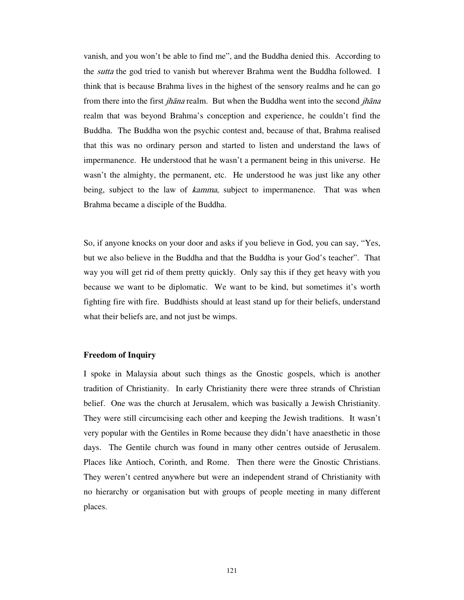vanish, and you won't be able to find me", and the Buddha denied this. According to the *sutta* the god tried to vanish but wherever Brahma went the Buddha followed. I think that is because Brahma lives in the highest of the sensory realms and he can go from there into the first *jhāna* realm. But when the Buddha went into the second *jhāna* realm that was beyond Brahma's conception and experience, he couldn't find the Buddha. The Buddha won the psychic contest and, because of that, Brahma realised that this was no ordinary person and started to listen and understand the laws of impermanence. He understood that he wasn't a permanent being in this universe. He wasn't the almighty, the permanent, etc. He understood he was just like any other being, subject to the law of *kamma*, subject to impermanence. That was when Brahma became a disciple of the Buddha.

So, if anyone knocks on your door and asks if you believe in God, you can say, "Yes, but we also believe in the Buddha and that the Buddha is your God's teacher". That way you will get rid of them pretty quickly. Only say this if they get heavy with you because we want to be diplomatic. We want to be kind, but sometimes it's worth fighting fire with fire. Buddhists should at least stand up for their beliefs, understand what their beliefs are, and not just be wimps.

#### **Freedom of Inquiry**

I spoke in Malaysia about such things as the Gnostic gospels, which is another tradition of Christianity. In early Christianity there were three strands of Christian belief. One was the church at Jerusalem, which was basically a Jewish Christianity. They were still circumcising each other and keeping the Jewish traditions. It wasn't very popular with the Gentiles in Rome because they didn't have anaesthetic in those days. The Gentile church was found in many other centres outside of Jerusalem. Places like Antioch, Corinth, and Rome. Then there were the Gnostic Christians. They weren't centred anywhere but were an independent strand of Christianity with no hierarchy or organisation but with groups of people meeting in many different places.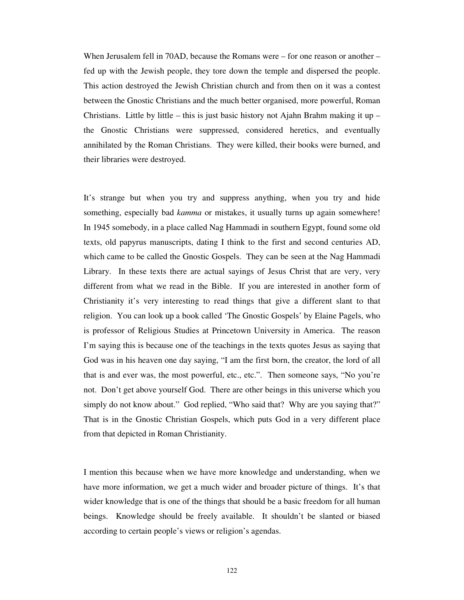When Jerusalem fell in 70AD, because the Romans were – for one reason or another – fed up with the Jewish people, they tore down the temple and dispersed the people. This action destroyed the Jewish Christian church and from then on it was a contest between the Gnostic Christians and the much better organised, more powerful, Roman Christians. Little by little – this is just basic history not Ajahn Brahm making it up – the Gnostic Christians were suppressed, considered heretics, and eventually annihilated by the Roman Christians. They were killed, their books were burned, and their libraries were destroyed.

It's strange but when you try and suppress anything, when you try and hide something, especially bad *kamma* or mistakes, it usually turns up again somewhere! In 1945 somebody, in a place called Nag Hammadi in southern Egypt, found some old texts, old papyrus manuscripts, dating I think to the first and second centuries AD, which came to be called the Gnostic Gospels. They can be seen at the Nag Hammadi Library. In these texts there are actual sayings of Jesus Christ that are very, very different from what we read in the Bible. If you are interested in another form of Christianity it's very interesting to read things that give a different slant to that religion. You can look up a book called 'The Gnostic Gospels' by Elaine Pagels, who is professor of Religious Studies at Princetown University in America. The reason I'm saying this is because one of the teachings in the texts quotes Jesus as saying that God was in his heaven one day saying, "I am the first born, the creator, the lord of all that is and ever was, the most powerful, etc., etc.". Then someone says, "No you're not. Don't get above yourself God. There are other beings in this universe which you simply do not know about." God replied, "Who said that? Why are you saying that?" That is in the Gnostic Christian Gospels, which puts God in a very different place from that depicted in Roman Christianity.

I mention this because when we have more knowledge and understanding, when we have more information, we get a much wider and broader picture of things. It's that wider knowledge that is one of the things that should be a basic freedom for all human beings. Knowledge should be freely available. It shouldn't be slanted or biased according to certain people's views or religion's agendas.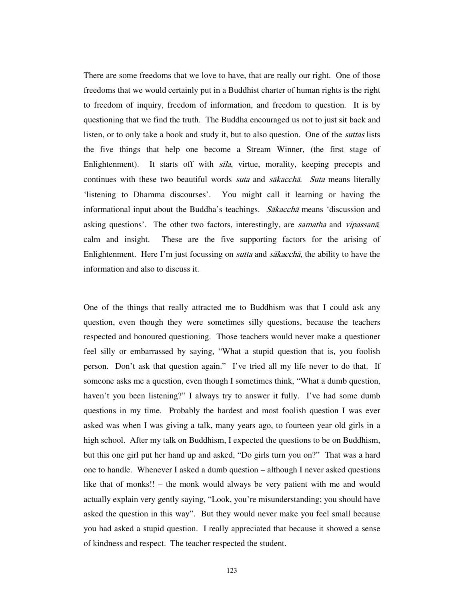There are some freedoms that we love to have, that are really our right. One of those freedoms that we would certainly put in a Buddhist charter of human rights is the right to freedom of inquiry, freedom of information, and freedom to question. It is by questioning that we find the truth. The Buddha encouraged us not to just sit back and listen, or to only take a book and study it, but to also question. One of the *suttas* lists the five things that help one become a Stream Winner, (the first stage of Enlightenment). It starts off with  $s\bar{z}/a$ , virtue, morality, keeping precepts and continues with these two beautiful words *suta* and *sākacchā*. Suta means literally 'listening to Dhamma discourses'. You might call it learning or having the informational input about the Buddha's teachings. Sakaccha means 'discussion and asking questions'. The other two factors, interestingly, are samatha and vipassanā*,* calm and insight. These are the five supporting factors for the arising of Enlightenment. Here I'm just focussing on *sutta* and  $s\bar{a}kacch\bar{a}$ , the ability to have the information and also to discuss it.

One of the things that really attracted me to Buddhism was that I could ask any question, even though they were sometimes silly questions, because the teachers respected and honoured questioning. Those teachers would never make a questioner feel silly or embarrassed by saying, "What a stupid question that is, you foolish person. Don't ask that question again." I've tried all my life never to do that. If someone asks me a question, even though I sometimes think, "What a dumb question, haven't you been listening?" I always try to answer it fully. I've had some dumb questions in my time. Probably the hardest and most foolish question I was ever asked was when I was giving a talk, many years ago, to fourteen year old girls in a high school. After my talk on Buddhism, I expected the questions to be on Buddhism, but this one girl put her hand up and asked, "Do girls turn you on?" That was a hard one to handle. Whenever I asked a dumb question – although I never asked questions like that of monks!! – the monk would always be very patient with me and would actually explain very gently saying, "Look, you're misunderstanding; you should have asked the question in this way". But they would never make you feel small because you had asked a stupid question. I really appreciated that because it showed a sense of kindness and respect. The teacher respected the student.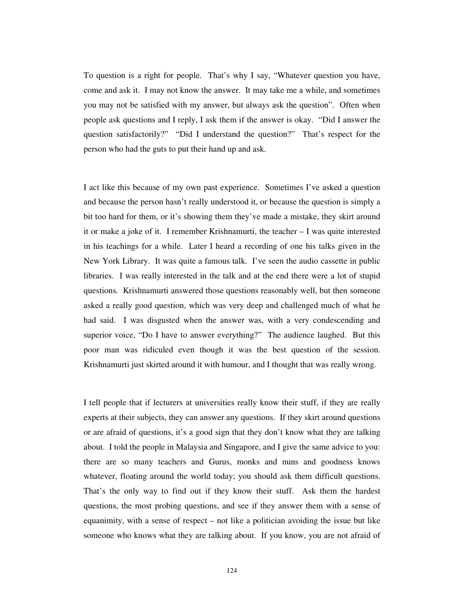To question is a right for people. That's why I say, "Whatever question you have, come and ask it. I may not know the answer. It may take me a while, and sometimes you may not be satisfied with my answer, but always ask the question". Often when people ask questions and I reply, I ask them if the answer is okay. "Did I answer the question satisfactorily?" "Did I understand the question?" That's respect for the person who had the guts to put their hand up and ask.

I act like this because of my own past experience. Sometimes I've asked a question and because the person hasn't really understood it, or because the question is simply a bit too hard for them, or it's showing them they've made a mistake, they skirt around it or make a joke of it. I remember Krishnamurti, the teacher – I was quite interested in his teachings for a while. Later I heard a recording of one his talks given in the New York Library. It was quite a famous talk. I've seen the audio cassette in public libraries. I was really interested in the talk and at the end there were a lot of stupid questions. Krishnamurti answered those questions reasonably well, but then someone asked a really good question, which was very deep and challenged much of what he had said. I was disgusted when the answer was, with a very condescending and superior voice, "Do I have to answer everything?" The audience laughed. But this poor man was ridiculed even though it was the best question of the session. Krishnamurti just skirted around it with humour, and I thought that was really wrong.

I tell people that if lecturers at universities really know their stuff, if they are really experts at their subjects, they can answer any questions. If they skirt around questions or are afraid of questions, it's a good sign that they don't know what they are talking about. I told the people in Malaysia and Singapore, and I give the same advice to you: there are so many teachers and Gurus, monks and nuns and goodness knows whatever, floating around the world today; you should ask them difficult questions. That's the only way to find out if they know their stuff. Ask them the hardest questions, the most probing questions, and see if they answer them with a sense of equanimity, with a sense of respect – not like a politician avoiding the issue but like someone who knows what they are talking about. If you know, you are not afraid of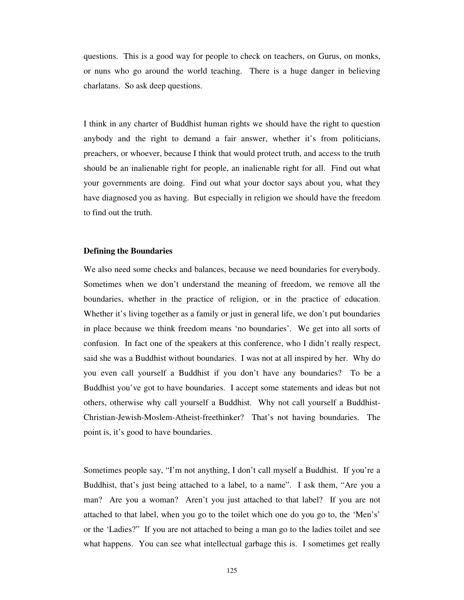questions. This is a good way for people to check on teachers, on Gurus, on monks, or nuns who go around the world teaching. There is a huge danger in believing charlatans. So ask deep questions.

I think in any charter of Buddhist human rights we should have the right to question anybody and the right to demand a fair answer, whether it's from politicians, preachers, or whoever, because I think that would protect truth, and access to the truth should be an inalienable right for people, an inalienable right for all. Find out what your governments are doing. Find out what your doctor says about you, what they have diagnosed you as having. But especially in religion we should have the freedom to find out the truth.

## **Defining the Boundaries**

We also need some checks and balances, because we need boundaries for everybody. Sometimes when we don't understand the meaning of freedom, we remove all the boundaries, whether in the practice of religion, or in the practice of education. Whether it's living together as a family or just in general life, we don't put boundaries in place because we think freedom means 'no boundaries'. We get into all sorts of confusion. In fact one of the speakers at this conference, who I didn't really respect, said she was a Buddhist without boundaries. I was not at all inspired by her. Why do you even call yourself a Buddhist if you don't have any boundaries? To be a Buddhist you've got to have boundaries. I accept some statements and ideas but not others, otherwise why call yourself a Buddhist. Why not call yourself a Buddhist-Christian-Jewish-Moslem-Atheist-freethinker? That's not having boundaries. The point is, it's good to have boundaries.

Sometimes people say, "I'm not anything, I don't call myself a Buddhist. If you're a Buddhist, that's just being attached to a label, to a name". I ask them, "Are you a man? Are you a woman? Aren't you just attached to that label? If you are not attached to that label, when you go to the toilet which one do you go to, the 'Men's' or the 'Ladies?" If you are not attached to being a man go to the ladies toilet and see what happens. You can see what intellectual garbage this is. I sometimes get really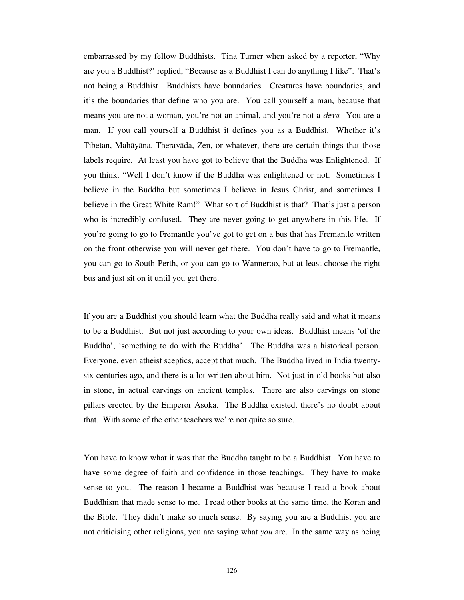embarrassed by my fellow Buddhists. Tina Turner when asked by a reporter, "Why are you a Buddhist?' replied, "Because as a Buddhist I can do anything I like". That's not being a Buddhist. Buddhists have boundaries. Creatures have boundaries, and it's the boundaries that define who you are. You call yourself a man, because that means you are not a woman, you're not an animal, and you're not a *deva*. You are a man. If you call yourself a Buddhist it defines you as a Buddhist. Whether it's Tibetan, Mahāyāna, Theravāda, Zen, or whatever, there are certain things that those labels require. At least you have got to believe that the Buddha was Enlightened. If you think, "Well I don't know if the Buddha was enlightened or not. Sometimes I believe in the Buddha but sometimes I believe in Jesus Christ, and sometimes I believe in the Great White Ram!" What sort of Buddhist is that? That's just a person who is incredibly confused. They are never going to get anywhere in this life. If you're going to go to Fremantle you've got to get on a bus that has Fremantle written on the front otherwise you will never get there. You don't have to go to Fremantle, you can go to South Perth, or you can go to Wanneroo, but at least choose the right bus and just sit on it until you get there.

If you are a Buddhist you should learn what the Buddha really said and what it means to be a Buddhist. But not just according to your own ideas. Buddhist means 'of the Buddha', 'something to do with the Buddha'. The Buddha was a historical person. Everyone, even atheist sceptics, accept that much. The Buddha lived in India twentysix centuries ago, and there is a lot written about him. Not just in old books but also in stone, in actual carvings on ancient temples. There are also carvings on stone pillars erected by the Emperor Asoka. The Buddha existed, there's no doubt about that. With some of the other teachers we're not quite so sure.

You have to know what it was that the Buddha taught to be a Buddhist. You have to have some degree of faith and confidence in those teachings. They have to make sense to you. The reason I became a Buddhist was because I read a book about Buddhism that made sense to me. I read other books at the same time, the Koran and the Bible. They didn't make so much sense. By saying you are a Buddhist you are not criticising other religions, you are saying what *you* are. In the same way as being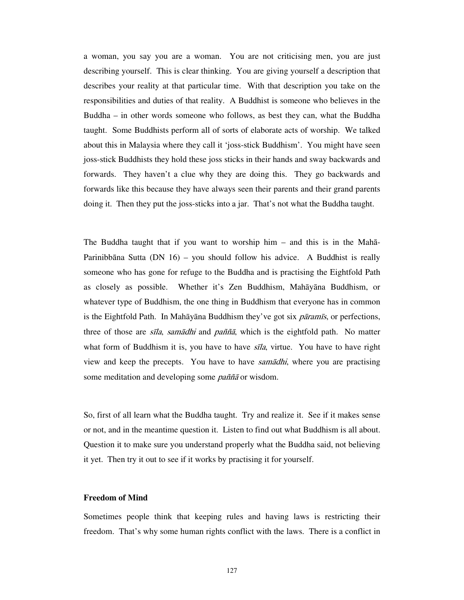a woman, you say you are a woman. You are not criticising men, you are just describing yourself. This is clear thinking. You are giving yourself a description that describes your reality at that particular time. With that description you take on the responsibilities and duties of that reality. A Buddhist is someone who believes in the Buddha – in other words someone who follows, as best they can, what the Buddha taught. Some Buddhists perform all of sorts of elaborate acts of worship. We talked about this in Malaysia where they call it 'joss-stick Buddhism'. You might have seen joss-stick Buddhists they hold these joss sticks in their hands and sway backwards and forwards. They haven't a clue why they are doing this. They go backwards and forwards like this because they have always seen their parents and their grand parents doing it. Then they put the joss-sticks into a jar. That's not what the Buddha taught.

The Buddha taught that if you want to worship him – and this is in the Mahā-Parinibbāna Sutta (DN 16) – you should follow his advice. A Buddhist is really someone who has gone for refuge to the Buddha and is practising the Eightfold Path as closely as possible. Whether it's Zen Buddhism, Mahāyāna Buddhism, or whatever type of Buddhism, the one thing in Buddhism that everyone has in common is the Eightfold Path. In Mahāyāna Buddhism they've got six  $\vec{p}$  paramīs, or perfections, three of those are *sīla, samādhi* and *paññā*, which is the eightfold path. No matter what form of Buddhism it is, you have to have  $s\bar{z}/a$ , virtue. You have to have right view and keep the precepts. You have to have *samādhi*, where you are practising some meditation and developing some *pañña* or wisdom.

So, first of all learn what the Buddha taught. Try and realize it. See if it makes sense or not, and in the meantime question it. Listen to find out what Buddhism is all about. Question it to make sure you understand properly what the Buddha said, not believing it yet. Then try it out to see if it works by practising it for yourself.

# **Freedom of Mind**

Sometimes people think that keeping rules and having laws is restricting their freedom. That's why some human rights conflict with the laws. There is a conflict in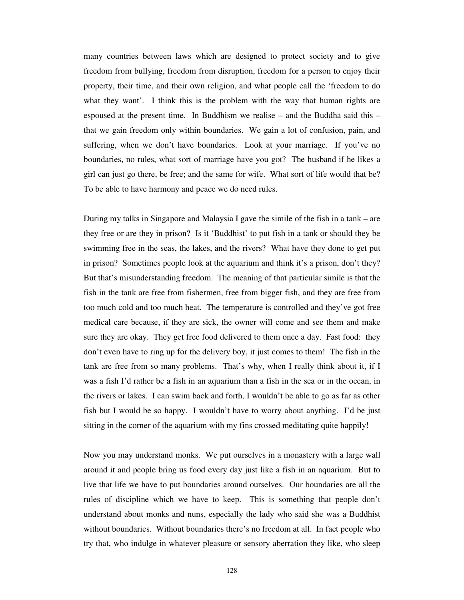many countries between laws which are designed to protect society and to give freedom from bullying, freedom from disruption, freedom for a person to enjoy their property, their time, and their own religion, and what people call the 'freedom to do what they want'. I think this is the problem with the way that human rights are espoused at the present time. In Buddhism we realise – and the Buddha said this – that we gain freedom only within boundaries. We gain a lot of confusion, pain, and suffering, when we don't have boundaries. Look at your marriage. If you've no boundaries, no rules, what sort of marriage have you got? The husband if he likes a girl can just go there, be free; and the same for wife. What sort of life would that be? To be able to have harmony and peace we do need rules.

During my talks in Singapore and Malaysia I gave the simile of the fish in a tank – are they free or are they in prison? Is it 'Buddhist' to put fish in a tank or should they be swimming free in the seas, the lakes, and the rivers? What have they done to get put in prison? Sometimes people look at the aquarium and think it's a prison, don't they? But that's misunderstanding freedom. The meaning of that particular simile is that the fish in the tank are free from fishermen, free from bigger fish, and they are free from too much cold and too much heat. The temperature is controlled and they've got free medical care because, if they are sick, the owner will come and see them and make sure they are okay. They get free food delivered to them once a day. Fast food: they don't even have to ring up for the delivery boy, it just comes to them! The fish in the tank are free from so many problems. That's why, when I really think about it, if I was a fish I'd rather be a fish in an aquarium than a fish in the sea or in the ocean, in the rivers or lakes. I can swim back and forth, I wouldn't be able to go as far as other fish but I would be so happy. I wouldn't have to worry about anything. I'd be just sitting in the corner of the aquarium with my fins crossed meditating quite happily!

Now you may understand monks. We put ourselves in a monastery with a large wall around it and people bring us food every day just like a fish in an aquarium. But to live that life we have to put boundaries around ourselves. Our boundaries are all the rules of discipline which we have to keep. This is something that people don't understand about monks and nuns, especially the lady who said she was a Buddhist without boundaries. Without boundaries there's no freedom at all. In fact people who try that, who indulge in whatever pleasure or sensory aberration they like, who sleep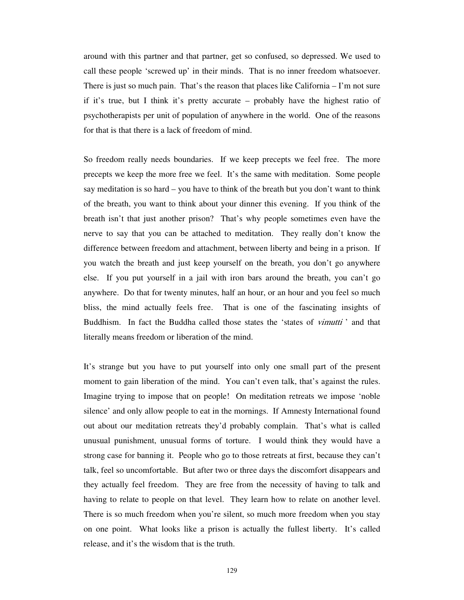around with this partner and that partner, get so confused, so depressed. We used to call these people 'screwed up' in their minds. That is no inner freedom whatsoever. There is just so much pain. That's the reason that places like California – I'm not sure if it's true, but I think it's pretty accurate – probably have the highest ratio of psychotherapists per unit of population of anywhere in the world. One of the reasons for that is that there is a lack of freedom of mind.

So freedom really needs boundaries. If we keep precepts we feel free. The more precepts we keep the more free we feel. It's the same with meditation. Some people say meditation is so hard – you have to think of the breath but you don't want to think of the breath, you want to think about your dinner this evening. If you think of the breath isn't that just another prison? That's why people sometimes even have the nerve to say that you can be attached to meditation. They really don't know the difference between freedom and attachment, between liberty and being in a prison. If you watch the breath and just keep yourself on the breath, you don't go anywhere else. If you put yourself in a jail with iron bars around the breath, you can't go anywhere. Do that for twenty minutes, half an hour, or an hour and you feel so much bliss, the mind actually feels free. That is one of the fascinating insights of Buddhism. In fact the Buddha called those states the 'states of *vimutti'* and that literally means freedom or liberation of the mind.

It's strange but you have to put yourself into only one small part of the present moment to gain liberation of the mind. You can't even talk, that's against the rules. Imagine trying to impose that on people! On meditation retreats we impose 'noble silence' and only allow people to eat in the mornings. If Amnesty International found out about our meditation retreats they'd probably complain. That's what is called unusual punishment, unusual forms of torture. I would think they would have a strong case for banning it. People who go to those retreats at first, because they can't talk, feel so uncomfortable. But after two or three days the discomfort disappears and they actually feel freedom. They are free from the necessity of having to talk and having to relate to people on that level. They learn how to relate on another level. There is so much freedom when you're silent, so much more freedom when you stay on one point. What looks like a prison is actually the fullest liberty. It's called release, and it's the wisdom that is the truth.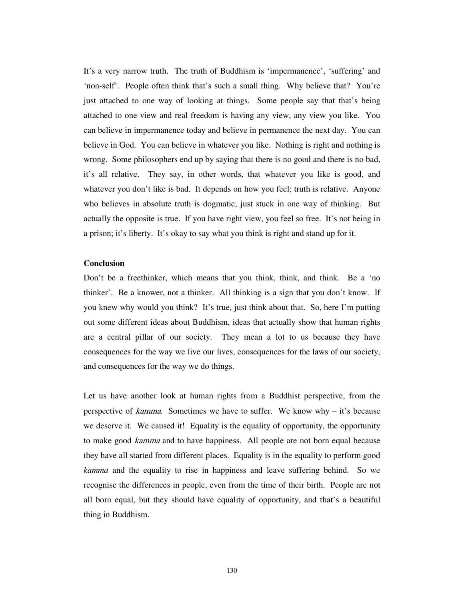It's a very narrow truth. The truth of Buddhism is 'impermanence', 'suffering' and 'non-self'. People often think that's such a small thing. Why believe that? You're just attached to one way of looking at things. Some people say that that's being attached to one view and real freedom is having any view, any view you like. You can believe in impermanence today and believe in permanence the next day. You can believe in God. You can believe in whatever you like. Nothing is right and nothing is wrong. Some philosophers end up by saying that there is no good and there is no bad, it's all relative. They say, in other words, that whatever you like is good, and whatever you don't like is bad. It depends on how you feel; truth is relative. Anyone who believes in absolute truth is dogmatic, just stuck in one way of thinking. But actually the opposite is true. If you have right view, you feel so free. It's not being in a prison; it's liberty. It's okay to say what you think is right and stand up for it.

# **Conclusion**

Don't be a freethinker, which means that you think, think, and think. Be a 'no thinker'. Be a knower, not a thinker. All thinking is a sign that you don't know. If you knew why would you think? It's true, just think about that. So, here I'm putting out some different ideas about Buddhism, ideas that actually show that human rights are a central pillar of our society. They mean a lot to us because they have consequences for the way we live our lives, consequences for the laws of our society, and consequences for the way we do things.

Let us have another look at human rights from a Buddhist perspective, from the perspective of kamma*.* Sometimes we have to suffer. We know why – it's because we deserve it. We caused it! Equality is the equality of opportunity, the opportunity to make good *kamma* and to have happiness. All people are not born equal because they have all started from different places. Equality is in the equality to perform good *kamma* and the equality to rise in happiness and leave suffering behind. So we recognise the differences in people, even from the time of their birth. People are not all born equal, but they should have equality of opportunity, and that's a beautiful thing in Buddhism.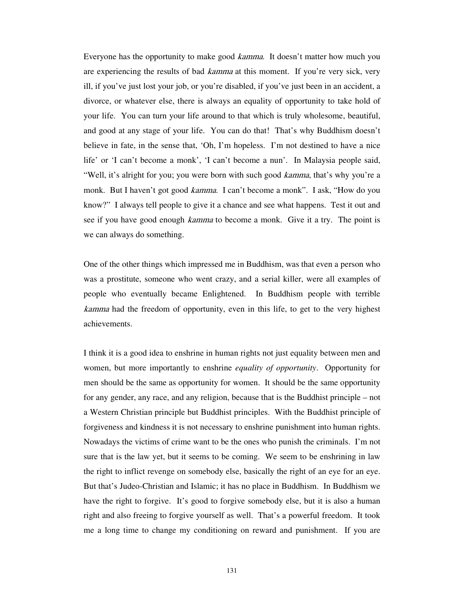Everyone has the opportunity to make good *kamma*. It doesn't matter how much you are experiencing the results of bad *kamma* at this moment. If you're very sick, very ill, if you've just lost your job, or you're disabled, if you've just been in an accident, a divorce, or whatever else, there is always an equality of opportunity to take hold of your life. You can turn your life around to that which is truly wholesome, beautiful, and good at any stage of your life. You can do that! That's why Buddhism doesn't believe in fate, in the sense that, 'Oh, I'm hopeless. I'm not destined to have a nice life' or 'I can't become a monk', 'I can't become a nun'. In Malaysia people said, "Well, it's alright for you; you were born with such good *kamma*, that's why you're a monk. But I haven't got good *kamma*. I can't become a monk". I ask, "How do you know?" I always tell people to give it a chance and see what happens. Test it out and see if you have good enough *kamma* to become a monk. Give it a try. The point is we can always do something.

One of the other things which impressed me in Buddhism, was that even a person who was a prostitute, someone who went crazy, and a serial killer, were all examples of people who eventually became Enlightened. In Buddhism people with terrible kamma had the freedom of opportunity, even in this life, to get to the very highest achievements.

I think it is a good idea to enshrine in human rights not just equality between men and women, but more importantly to enshrine *equality of opportunity*. Opportunity for men should be the same as opportunity for women. It should be the same opportunity for any gender, any race, and any religion, because that is the Buddhist principle – not a Western Christian principle but Buddhist principles. With the Buddhist principle of forgiveness and kindness it is not necessary to enshrine punishment into human rights. Nowadays the victims of crime want to be the ones who punish the criminals. I'm not sure that is the law yet, but it seems to be coming. We seem to be enshrining in law the right to inflict revenge on somebody else, basically the right of an eye for an eye. But that's Judeo-Christian and Islamic; it has no place in Buddhism. In Buddhism we have the right to forgive. It's good to forgive somebody else, but it is also a human right and also freeing to forgive yourself as well. That's a powerful freedom. It took me a long time to change my conditioning on reward and punishment. If you are